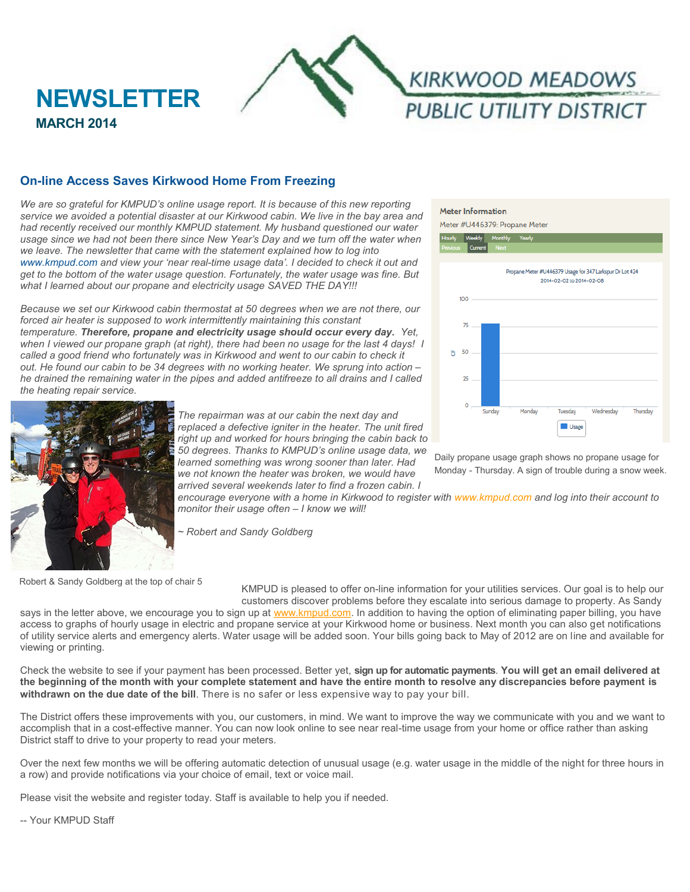

# **On-line Access Saves Kirkwood Home From Freezing**

*We are so grateful for KMPUD's online usage report. It is because of this new reporting service we avoided a potential disaster at our Kirkwood cabin. We live in the bay area and had recently received our monthly KMPUD statement. My husband questioned our water*  usage since we had not been there since New Year's Day and we turn off the water when *we leave. The newsletter that came with the statement explained how to log into [www.kmpud.com](http://www.kmpud.com) and view your 'near real-time usage data'. I decided to check it out and get to the bottom of the water usage question. Fortunately, the water usage was fine. But what I learned about our propane and electricity usage SAVED THE DAY!!!* 

*Because we set our Kirkwood cabin thermostat at 50 degrees when we are not there, our*  forced air heater is supposed to work intermittently maintaining this constant *temperature. Therefore, propane and electricity usage should occur every day. Yet, when I viewed our propane graph (at right), there had been no usage for the last 4 days! I called a good friend who fortunately was in Kirkwood and went to our cabin to check it out. He found our cabin to be 34 degrees with no working heater. We sprung into action – he drained the remaining water in the pipes and added antifreeze to all drains and I called the heating repair service.*



**MARCH 2014**

*The repairman was at our cabin the next day and replaced a defective igniter in the heater. The unit fired right up and worked for hours bringing the cabin back to 50 degrees. Thanks to KMPUD's online usage data, we learned something was wrong sooner than later. Had we not known the heater was broken, we would have arrived several weekends later to find a frozen cabin. I* 

**Meter Information** Meter #U446379: Propane Meter



Daily propane usage graph shows no propane usage for Monday - Thursday. A sign of trouble during a snow week.

*encourage everyone with a home in Kirkwood to register with [www.kmpud.com](http://www.kmpud.com) and log into their account to monitor their usage often – I know we will!*

*~ Robert and Sandy Goldberg*

Robert & Sandy Goldberg at the top of chair 5

KMPUD is pleased to offer on-line information for your utilities services. Our goal is to help our customers discover problems before they escalate into serious damage to property. As Sandy

says in the letter above, we encourage you to sign up at [www.kmpud.com.](http://www.kmpud.com) In addition to having the option of eliminating paper billing, you have access to graphs of hourly usage in electric and propane service at your Kirkwood home or business. Next month you can also get notifications of utility service alerts and emergency alerts. Water usage will be added soon. Your bills going back to May of 2012 are on line and available for viewing or printing.

Check the website to see if your payment has been processed. Better yet, **sign up for automatic payments**. **You will get an email delivered at the beginning of the month with your complete statement and have the entire month to resolve any discrepancies before payment is withdrawn on the due date of the bill**. There is no safer or less expensive way to pay your bill.

The District offers these improvements with you, our customers, in mind. We want to improve the way we communicate with you and we want to accomplish that in a cost-effective manner. You can now look online to see near real-time usage from your home or office rather than asking District staff to drive to your property to read your meters.

Over the next few months we will be offering automatic detection of unusual usage (e.g. water usage in the middle of the night for three hours in a row) and provide notifications via your choice of email, text or voice mail.

Please visit the website and register today. Staff is available to help you if needed.

-- Your KMPUD Staff